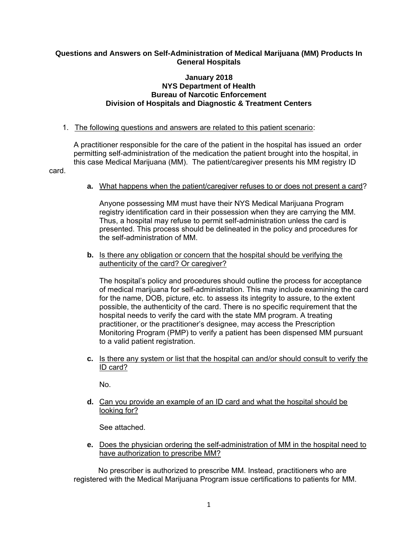# **Questions and Answers on Self-Administration of Medical Marijuana (MM) Products In General Hospitals**

### **January 2018 NYS Department of Health Bureau of Narcotic Enforcement Division of Hospitals and Diagnostic & Treatment Centers**

1. The following questions and answers are related to this patient scenario:

A practitioner responsible for the care of the patient in the hospital has issued an order permitting self-administration of the medication the patient brought into the hospital, in this case Medical Marijuana (MM). The patient/caregiver presents his MM registry ID

card.

**a.** What happens when the patient/caregiver refuses to or does not present a card?

Anyone possessing MM must have their NYS Medical Marijuana Program registry identification card in their possession when they are carrying the MM. Thus, a hospital may refuse to permit self-administration unless the card is presented. This process should be delineated in the policy and procedures for the self-administration of MM.

**b.** Is there any obligation or concern that the hospital should be verifying the authenticity of the card? Or caregiver?

The hospital's policy and procedures should outline the process for acceptance of medical marijuana for self-administration. This may include examining the card for the name, DOB, picture, etc. to assess its integrity to assure, to the extent possible, the authenticity of the card. There is no specific requirement that the hospital needs to verify the card with the state MM program. A treating practitioner, or the practitioner's designee, may access the Prescription Monitoring Program (PMP) to verify a patient has been dispensed MM pursuant to a valid patient registration.

**c.** Is there any system or list that the hospital can and/or should consult to verify the ID card?

No.

**d.** Can you provide an example of an ID card and what the hospital should be looking for?

See attached.

**e.** Does the physician ordering the self-administration of MM in the hospital need to have authorization to prescribe MM?

No prescriber is authorized to prescribe MM. Instead, practitioners who are registered with the Medical Marijuana Program issue certifications to patients for MM.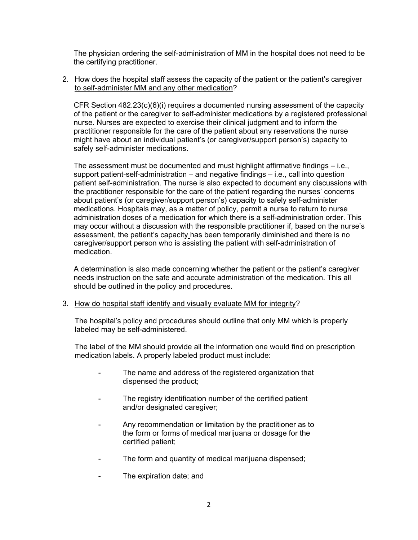The physician ordering the self-administration of MM in the hospital does not need to be the certifying practitioner.

### 2. How does the hospital staff assess the capacity of the patient or the patient's caregiver to self-administer MM and any other medication?

CFR Section 482.23(c)(6)(i) requires a documented nursing assessment of the capacity of the patient or the caregiver to self-administer medications by a registered professional nurse. Nurses are expected to exercise their clinical judgment and to inform the practitioner responsible for the care of the patient about any reservations the nurse might have about an individual patient's (or caregiver/support person's) capacity to safely self-administer medications.

The assessment must be documented and must highlight affirmative findings – i.e., support patient-self-administration – and negative findings – i.e., call into question patient self-administration. The nurse is also expected to document any discussions with the practitioner responsible for the care of the patient regarding the nurses' concerns about patient's (or caregiver/support person's) capacity to safely self-administer medications. Hospitals may, as a matter of policy, permit a nurse to return to nurse administration doses of a medication for which there is a self-administration order. This may occur without a discussion with the responsible practitioner if, based on the nurse's assessment, the patient's capacity has been temporarily diminished and there is no caregiver/support person who is assisting the patient with self-administration of medication.

A determination is also made concerning whether the patient or the patient's caregiver needs instruction on the safe and accurate administration of the medication. This all should be outlined in the policy and procedures.

# 3. How do hospital staff identify and visually evaluate MM for integrity?

The hospital's policy and procedures should outline that only MM which is properly labeled may be self-administered.

The label of the MM should provide all the information one would find on prescription medication labels. A properly labeled product must include:

- The name and address of the registered organization that dispensed the product;
- The registry identification number of the certified patient and/or designated caregiver;
- Any recommendation or limitation by the practitioner as to the form or forms of medical marijuana or dosage for the certified patient;
- The form and quantity of medical marijuana dispensed;
- The expiration date; and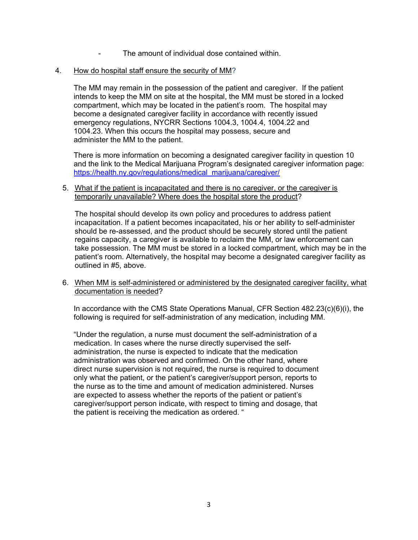The amount of individual dose contained within.

### 4. How do hospital staff ensure the security of MM?

The MM may remain in the possession of the patient and caregiver. If the patient intends to keep the MM on site at the hospital, the MM must be stored in a locked compartment, which may be located in the patient's room. The hospital may become a designated caregiver facility in accordance with recently issued emergency regulations, NYCRR Sections 1004.3, 1004.4, 1004.22 and 1004.23. When this occurs the hospital may possess, secure and administer the MM to the patient.

There is more information on becoming a designated caregiver facility in question 10 and the link to the Medical Marijuana Program's designated caregiver information page: [https://health.ny.gov/regulations/medical\\_marijuana/caregiver/](https://health.ny.gov/regulations/medical_marijuana/caregiver/)

#### 5. What if the patient is incapacitated and there is no caregiver, or the caregiver is temporarily unavailable? Where does the hospital store the product?

The hospital should develop its own policy and procedures to address patient incapacitation. If a patient becomes incapacitated, his or her ability to self-administer should be re-assessed, and the product should be securely stored until the patient regains capacity, a caregiver is available to reclaim the MM, or law enforcement can take possession. The MM must be stored in a locked compartment, which may be in the patient's room. Alternatively, the hospital may become a designated caregiver facility as outlined in #5, above.

#### 6. When MM is self-administered or administered by the designated caregiver facility, what documentation is needed?

In accordance with the CMS State Operations Manual, CFR Section 482.23(c)(6)(i), the following is required for self-administration of any medication, including MM.

"Under the regulation, a nurse must document the self-administration of a medication. In cases where the nurse directly supervised the selfadministration, the nurse is expected to indicate that the medication administration was observed and confirmed. On the other hand, where direct nurse supervision is not required, the nurse is required to document only what the patient, or the patient's caregiver/support person, reports to the nurse as to the time and amount of medication administered. Nurses are expected to assess whether the reports of the patient or patient's caregiver/support person indicate, with respect to timing and dosage, that the patient is receiving the medication as ordered. "